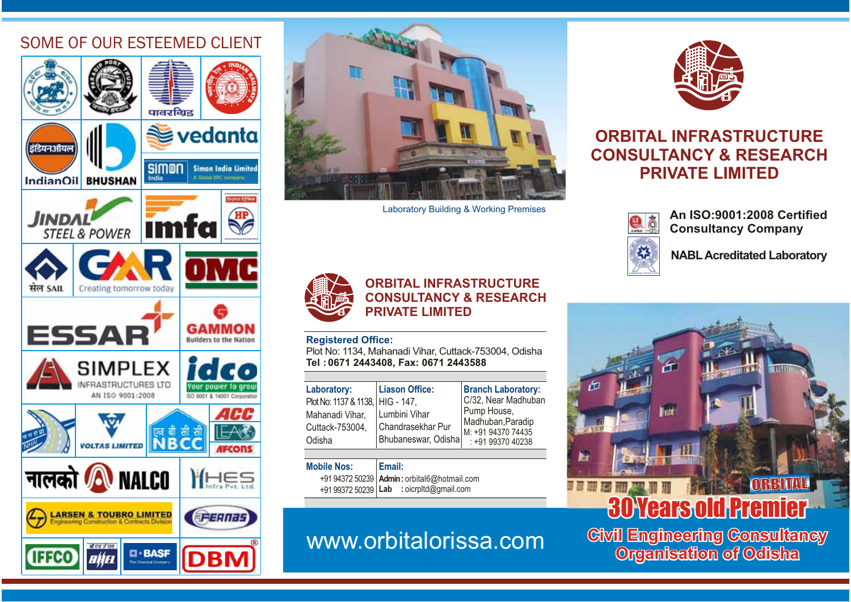### SOME OF OUR ESTEEMED CLIENT





Laboratory Building & Working Premises



### **ORBITAL INFRASTRUCTURECONSULTANCY & RESEARCH PRIVATE LIMITED**

#### **Registered Office:**

Plot No: 1134, Mahanadi Vihar, Cuttack-753004, Odisha **Tel : 0671 2443408, Fax: 0671 2443588**

| <b>Liason Office:</b><br>Laboratory:<br>Plot No: 1137 & 1138,   HIG - 147,<br>Lumbini Vihar<br>Mahanadi Vihar,<br>Chandrasekhar Pur<br>Cuttack-753004,<br>Bhubaneswar, Odisha<br>Odisha | <b>Branch Laboratory:</b><br>C/32, Near Madhuban<br>Pump House,<br>Madhuban, Paradip<br>M: +91 94370 74435<br>: +91 99370 40238 |
|-----------------------------------------------------------------------------------------------------------------------------------------------------------------------------------------|---------------------------------------------------------------------------------------------------------------------------------|
|-----------------------------------------------------------------------------------------------------------------------------------------------------------------------------------------|---------------------------------------------------------------------------------------------------------------------------------|

#### **Mobile Nos:** +91 94372 50239 **Email:Admin:** orbital6@hotmail.com

+91 99372 50239 **Lab :** oicrpltd@gmail.com

# www.orbitalorissa.com



### **ORBITAL INFRASTRUCTURECONSULTANCY & RESEARCH PRIVATE LIMITED**



CertificateNo.T-2774 &

**An ISO:9001:2008 Certified Consultancy Company**

**NABLAcreditated Laboratory**



**Civil Engineering Consultancy Organisation of Odisha Civil Engineering Consultancy**